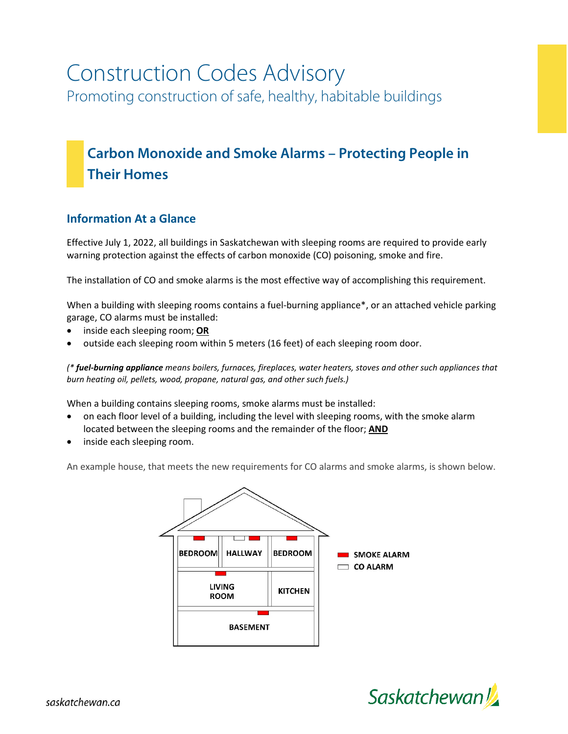# Construction Codes Advisory

Promoting construction of safe, healthy, habitable buildings

## **Carbon Monoxide and Smoke Alarms – Protecting People in Their Homes**

## **Information At a Glance**

Effective July 1, 2022, all buildings in Saskatchewan with sleeping rooms are required to provide early warning protection against the effects of carbon monoxide (CO) poisoning, smoke and fire.

The installation of CO and smoke alarms is the most effective way of accomplishing this requirement.

When a building with sleeping rooms contains a fuel-burning appliance\*, or an attached vehicle parking garage, CO alarms must be installed:

- inside each sleeping room; **OR**
- outside each sleeping room within 5 meters (16 feet) of each sleeping room door.

*(\* fuel-burning appliance means boilers, furnaces, fireplaces, water heaters, stoves and other such appliances that burn heating oil, pellets, wood, propane, natural gas, and other such fuels.)*

When a building contains sleeping rooms, smoke alarms must be installed:

- on each floor level of a building, including the level with sleeping rooms, with the smoke alarm located between the sleeping rooms and the remainder of the floor; **AND**
- inside each sleeping room.

An example house, that meets the new requirements for CO alarms and smoke alarms, is shown below.



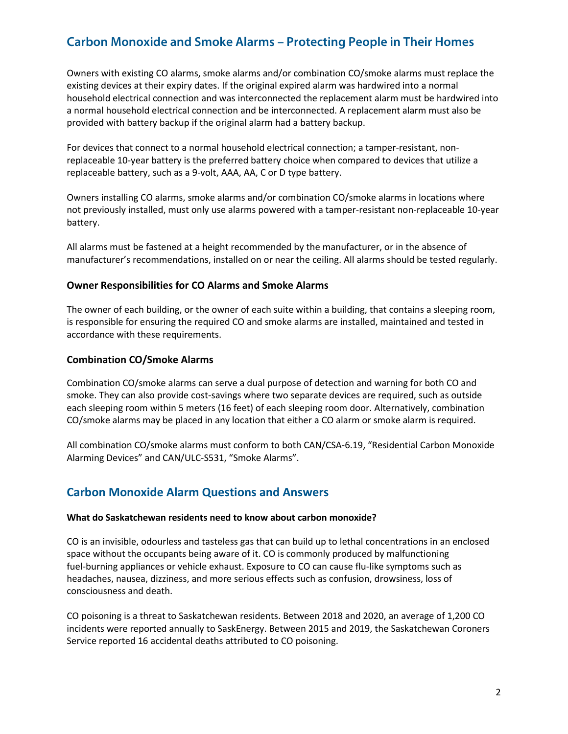## **Carbon Monoxide and Smoke Alarms – Protecting People in Their Homes**

Owners with existing CO alarms, smoke alarms and/or combination CO/smoke alarms must replace the existing devices at their expiry dates. If the original expired alarm was hardwired into a normal household electrical connection and was interconnected the replacement alarm must be hardwired into a normal household electrical connection and be interconnected. A replacement alarm must also be provided with battery backup if the original alarm had a battery backup.

For devices that connect to a normal household electrical connection; a tamper-resistant, nonreplaceable 10-year battery is the preferred battery choice when compared to devices that utilize a replaceable battery, such as a 9-volt, AAA, AA, C or D type battery.

Owners installing CO alarms, smoke alarms and/or combination CO/smoke alarms in locations where not previously installed, must only use alarms powered with a tamper-resistant non-replaceable 10-year battery.

All alarms must be fastened at a height recommended by the manufacturer, or in the absence of manufacturer's recommendations, installed on or near the ceiling. All alarms should be tested regularly.

#### **Owner Responsibilities for CO Alarms and Smoke Alarms**

The owner of each building, or the owner of each suite within a building, that contains a sleeping room, is responsible for ensuring the required CO and smoke alarms are installed, maintained and tested in accordance with these requirements.

#### **Combination CO/Smoke Alarms**

Combination CO/smoke alarms can serve a dual purpose of detection and warning for both CO and smoke. They can also provide cost-savings where two separate devices are required, such as outside each sleeping room within 5 meters (16 feet) of each sleeping room door. Alternatively, combination CO/smoke alarms may be placed in any location that either a CO alarm or smoke alarm is required.

All combination CO/smoke alarms must conform to both CAN/CSA-6.19, "Residential Carbon Monoxide Alarming Devices" and CAN/ULC-S531, "Smoke Alarms".

## **Carbon Monoxide Alarm Questions and Answers**

#### **What do Saskatchewan residents need to know about carbon monoxide?**

CO is an invisible, odourless and tasteless gas that can build up to lethal concentrations in an enclosed space without the occupants being aware of it. CO is commonly produced by malfunctioning fuel-burning appliances or vehicle exhaust. Exposure to CO can cause flu-like symptoms such as headaches, nausea, dizziness, and more serious effects such as confusion, drowsiness, loss of consciousness and death.

CO poisoning is a threat to Saskatchewan residents. Between 2018 and 2020, an average of 1,200 CO incidents were reported annually to SaskEnergy. Between 2015 and 2019, the Saskatchewan Coroners Service reported 16 accidental deaths attributed to CO poisoning.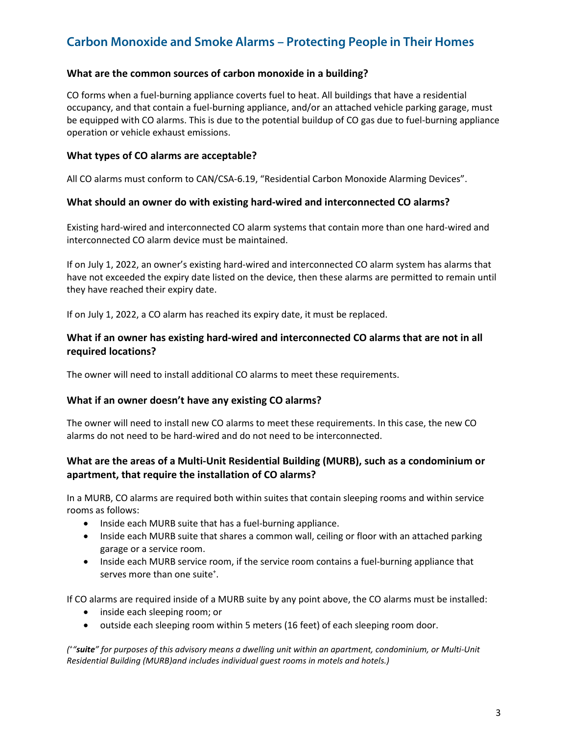## **Carbon Monoxide and Smoke Alarms – Protecting People in Their Homes**

#### **What are the common sources of carbon monoxide in a building?**

CO forms when a fuel-burning appliance coverts fuel to heat. All buildings that have a residential occupancy, and that contain a fuel-burning appliance, and/or an attached vehicle parking garage, must be equipped with CO alarms. This is due to the potential buildup of CO gas due to fuel-burning appliance operation or vehicle exhaust emissions.

#### **What types of CO alarms are acceptable?**

All CO alarms must conform to CAN/CSA-6.19, "Residential Carbon Monoxide Alarming Devices".

#### **What should an owner do with existing hard-wired and interconnected CO alarms?**

Existing hard-wired and interconnected CO alarm systems that contain more than one hard-wired and interconnected CO alarm device must be maintained.

If on July 1, 2022, an owner's existing hard-wired and interconnected CO alarm system has alarms that have not exceeded the expiry date listed on the device, then these alarms are permitted to remain until they have reached their expiry date.

If on July 1, 2022, a CO alarm has reached its expiry date, it must be replaced.

#### **What if an owner has existing hard-wired and interconnected CO alarms that are not in all required locations?**

The owner will need to install additional CO alarms to meet these requirements.

#### **What if an owner doesn't have any existing CO alarms?**

The owner will need to install new CO alarms to meet these requirements. In this case, the new CO alarms do not need to be hard-wired and do not need to be interconnected.

#### **What are the areas of a Multi-Unit Residential Building (MURB), such as a condominium or apartment, that require the installation of CO alarms?**

In a MURB, CO alarms are required both within suites that contain sleeping rooms and within service rooms as follows:

- Inside each MURB suite that has a fuel-burning appliance.
- Inside each MURB suite that shares a common wall, ceiling or floor with an attached parking garage or a service room.
- Inside each MURB service room, if the service room contains a fuel-burning appliance that serves more than one suite<sup>+</sup>.

If CO alarms are required inside of a MURB suite by any point above, the CO alarms must be installed:

- inside each sleeping room; or
- outside each sleeping room within 5 meters (16 feet) of each sleeping room door.

*( + "suite" for purposes of this advisory means a dwelling unit within an apartment, condominium, or Multi-Unit Residential Building (MURB)and includes individual guest rooms in motels and hotels.)*